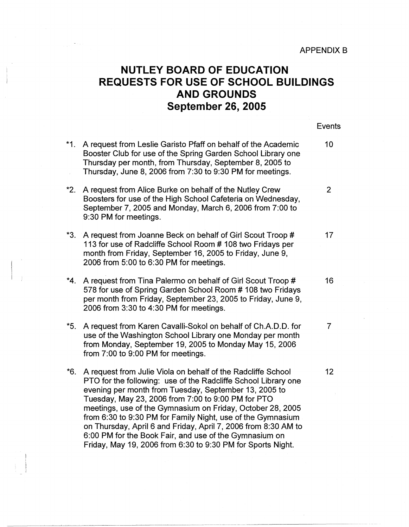Events

## **NUTLEY BOARD OF EDUCATION REQUESTS FOR USE OF SCHOOL BUILDINGS AND GROUNDS September 26, 2005**

| $*1.$ | A request from Leslie Garisto Pfaff on behalf of the Academic<br>Booster Club for use of the Spring Garden School Library one<br>Thursday per month, from Thursday, September 8, 2005 to<br>Thursday, June 8, 2006 from 7:30 to 9:30 PM for meetings.                                                                                                                                                                                                                                                                                                                 | 10             |
|-------|-----------------------------------------------------------------------------------------------------------------------------------------------------------------------------------------------------------------------------------------------------------------------------------------------------------------------------------------------------------------------------------------------------------------------------------------------------------------------------------------------------------------------------------------------------------------------|----------------|
| *2.   | A request from Alice Burke on behalf of the Nutley Crew<br>Boosters for use of the High School Cafeteria on Wednesday,<br>September 7, 2005 and Monday, March 6, 2006 from 7:00 to<br>9:30 PM for meetings.                                                                                                                                                                                                                                                                                                                                                           | $\overline{2}$ |
| *3.   | A request from Joanne Beck on behalf of Girl Scout Troop #<br>113 for use of Radcliffe School Room # 108 two Fridays per<br>month from Friday, September 16, 2005 to Friday, June 9,<br>2006 from 5:00 to 6:30 PM for meetings.                                                                                                                                                                                                                                                                                                                                       | 17             |
| $*4.$ | A request from Tina Palermo on behalf of Girl Scout Troop #<br>578 for use of Spring Garden School Room # 108 two Fridays<br>per month from Friday, September 23, 2005 to Friday, June 9,<br>2006 from 3:30 to 4:30 PM for meetings.                                                                                                                                                                                                                                                                                                                                  | 16             |
| $*5.$ | A request from Karen Cavalli-Sokol on behalf of Ch.A.D.D. for<br>use of the Washington School Library one Monday per month<br>from Monday, September 19, 2005 to Monday May 15, 2006<br>from 7:00 to 9:00 PM for meetings.                                                                                                                                                                                                                                                                                                                                            | 7              |
| *6.   | A request from Julie Viola on behalf of the Radcliffe School<br>PTO for the following: use of the Radcliffe School Library one<br>evening per month from Tuesday, September 13, 2005 to<br>Tuesday, May 23, 2006 from 7:00 to 9:00 PM for PTO<br>meetings, use of the Gymnasium on Friday, October 28, 2005<br>from 6:30 to 9:30 PM for Family Night, use of the Gymnasium<br>on Thursday, April 6 and Friday, April 7, 2006 from 8:30 AM to<br>6:00 PM for the Book Fair, and use of the Gymnasium on<br>Friday, May 19, 2006 from 6:30 to 9:30 PM for Sports Night. | 12             |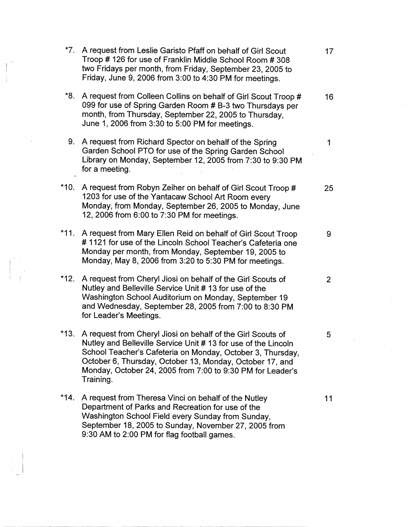| $*7.$  | A request from Leslie Garisto Pfaff on behalf of Girl Scout<br>Troop # 126 for use of Franklin Middle School Room # 308<br>two Fridays per month, from Friday, September 23, 2005 to<br>Friday, June 9, 2006 from 3:00 to 4:30 PM for meetings.                                                                                    | 17              |
|--------|------------------------------------------------------------------------------------------------------------------------------------------------------------------------------------------------------------------------------------------------------------------------------------------------------------------------------------|-----------------|
| *8.    | A request from Colleen Collins on behalf of Girl Scout Troop #<br>099 for use of Spring Garden Room # B-3 two Thursdays per<br>month, from Thursday, September 22, 2005 to Thursday,<br>June 1, 2006 from 3:30 to 5:00 PM for meetings.                                                                                            | 16 <sup>°</sup> |
|        | 9. A request from Richard Spector on behalf of the Spring<br>Garden School PTO for use of the Spring Garden School<br>Library on Monday, September 12, 2005 from 7:30 to 9:30 PM.<br>for a meeting.                                                                                                                                | 1               |
| $*10.$ | A request from Robyn Zeiher on behalf of Girl Scout Troop #<br>1203 for use of the Yantacaw School Art Room every<br>Monday, from Monday, September 26, 2005 to Monday, June<br>12, 2006 from 6:00 to 7:30 PM for meetings.                                                                                                        | 25              |
| $*11.$ | A request from Mary Ellen Reid on behalf of Girl Scout Troop<br>#1121 for use of the Lincoln School Teacher's Cafeteria one<br>Monday per month, from Monday, September 19, 2005 to<br>Monday, May 8, 2006 from 3:20 to 5:30 PM for meetings.                                                                                      | 9               |
| $*12.$ | A request from Cheryl Jiosi on behalf of the Girl Scouts of<br>Nutley and Belleville Service Unit # 13 for use of the<br>Washington School Auditorium on Monday, September 19<br>and Wednesday, September 28, 2005 from 7:00 to 8:30 PM<br>for Leader's Meetings.                                                                  | $\overline{2}$  |
| $*13.$ | A request from Cheryl Jiosi on behalf of the Girl Scouts of<br>Nutley and Belleville Service Unit # 13 for use of the Lincoln<br>School Teacher's Cafeteria on Monday, October 3, Thursday,<br>October 6, Thursday, October 13, Monday, October 17, and<br>Monday, October 24, 2005 from 7:00 to 9:30 PM for Leader's<br>Training. | 5               |
| $*14.$ | A request from Theresa Vinci on behalf of the Nutley<br>Department of Parks and Recreation for use of the<br>Washington School Field every Sunday from Sunday,<br>September 18, 2005 to Sunday, November 27, 2005 from<br>9:30 AM to 2:00 PM for flag football games.                                                              | 11              |

 $\frac{1}{2}$ 

 $\begin{bmatrix} 1 & 1 & 1 \\ 1 & 1 & 1 \\ 1 & 1 & 1 \end{bmatrix}$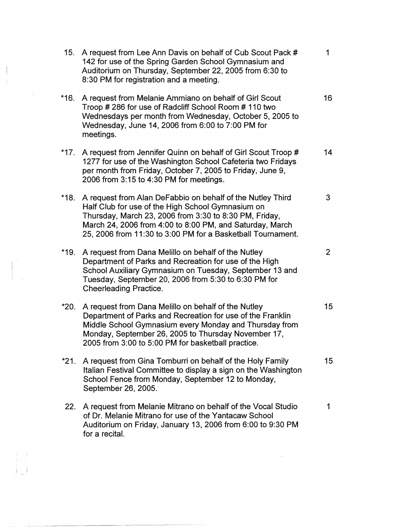| 15.    | A request from Lee Ann Davis on behalf of Cub Scout Pack #<br>142 for use of the Spring Garden School Gymnasium and<br>Auditorium on Thursday, September 22, 2005 from 6:30 to<br>8:30 PM for registration and a meeting.                                                                            | 1              |
|--------|------------------------------------------------------------------------------------------------------------------------------------------------------------------------------------------------------------------------------------------------------------------------------------------------------|----------------|
| $*16.$ | A request from Melanie Ammiano on behalf of Girl Scout<br>Troop # 286 for use of Radcliff School Room # 110 two<br>Wednesdays per month from Wednesday, October 5, 2005 to<br>Wednesday, June 14, 2006 from 6:00 to 7:00 PM for<br>meetings.                                                         | 16             |
|        | *17. A request from Jennifer Quinn on behalf of Girl Scout Troop #<br>1277 for use of the Washington School Cafeteria two Fridays<br>per month from Friday, October 7, 2005 to Friday, June 9,<br>2006 from 3:15 to 4:30 PM for meetings.                                                            | 14             |
| *18.   | A request from Alan DeFabbio on behalf of the Nutley Third<br>Half Club for use of the High School Gymnasium on<br>Thursday, March 23, 2006 from 3:30 to 8:30 PM, Friday,<br>March 24, 2006 from 4:00 to 8:00 PM, and Saturday, March<br>25, 2006 from 11:30 to 3:00 PM for a Basketball Tournament. | 3              |
| *19.   | A request from Dana Melillo on behalf of the Nutley<br>Department of Parks and Recreation for use of the High<br>School Auxiliary Gymnasium on Tuesday, September 13 and<br>Tuesday, September 20, 2006 from 5:30 to 6:30 PM for<br><b>Cheerleading Practice.</b>                                    | $\overline{2}$ |
| *20.   | A request from Dana Melillo on behalf of the Nutley<br>Department of Parks and Recreation for use of the Franklin<br>Middle School Gymnasium every Monday and Thursday from<br>Monday, September 26, 2005 to Thursday November 17,<br>2005 from 3:00 to 5:00 PM for basketball practice.             | 15             |
| *21.   | A request from Gina Tomburri on behalf of the Holy Family<br>Italian Festival Committee to display a sign on the Washington<br>School Fence from Monday, September 12 to Monday,<br>September 26, 2005.                                                                                              | 15             |
| 22.    | A request from Melanie Mitrano on behalf of the Vocal Studio<br>of Dr. Melanie Mitrano for use of the Yantacaw School<br>Auditorium on Friday, January 13, 2006 from 6:00 to 9:30 PM<br>for a recital.                                                                                               | 1              |

 $\mathbf{I} = \mathbf{I}$ 

 $\label{eq:1} \frac{1}{\sqrt{2\pi}}\left(\frac{1}{\sqrt{2\pi}}\right)^{1/2}$